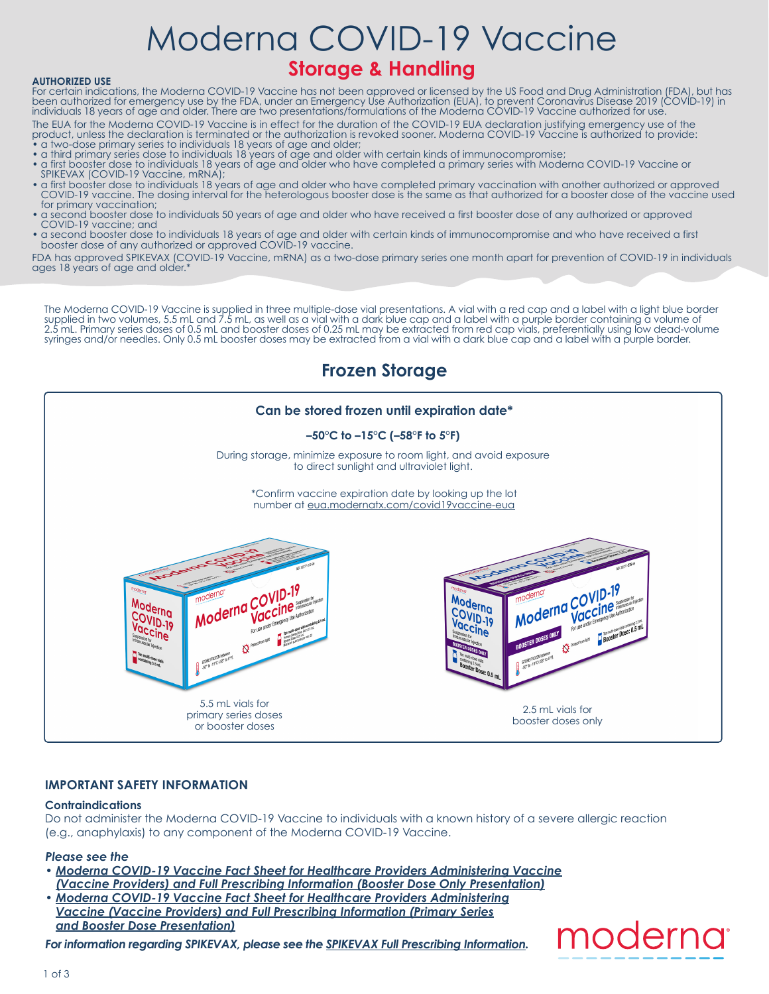# Moderna COVID-19 Vaccine

## **Storage & Handling**

#### **AUTHORIZED USE**

For certain indications, the Moderna COVID-19 Vaccine has not been approved or licensed by the US Food and Drug Administration (FDA), but has been authorized for emergency use by the FDA, under an Emergency Use Authorization (EUA), to prevent Coronavirus Disease 2019 (COVID-19) in individuals 18 years of age and older. There are two presentations/formulations of the Moderna COVID-19 Vaccine authorized for use.

The EUA for the Moderna COVID-19 Vaccine is in effect for the duration of the COVID-19 EUA declaration justifying emergency use of the product, unless the declaration is terminated or the authorization is revoked sooner. Moderna COVID-19 Vaccine is authorized to provide: • a two-dose primary series to individuals 18 years of age and older;

- a third primary series dose to individuals 18 years of age and older with certain kinds of immunocompromise;
- a first booster dose to individuals 18 years of age and older who have completed a primary series with Moderna COVID-19 Vaccine or SPIKEVAX (COVID-19 Vaccine, mRNA);
- a first booster dose to individuals 18 years of age and older who have completed primary vaccination with another authorized or approved COVID-19 vaccine. The dosing interval for the heterologous booster dose is the same as that authorized for a booster dose of the vaccine used for primary vaccination;
- a second booster dose to individuals 50 years of age and older who have received a first booster dose of any authorized or approved COVID-19 vaccine; and
- a second booster dose to individuals 18 years of age and older with certain kinds of immunocompromise and who have received a first booster dose of any authorized or approved COVID-19 vaccine.

FDA has approved SPIKEVAX (COVID-19 Vaccine, mRNA) as a two-dose primary series one month apart for prevention of COVID-19 in individuals ages 18 years of age and older.<sup>\*</sup>

The Moderna COVID-19 Vaccine is supplied in three multiple-dose vial presentations. A vial with a red cap and a label with a light blue border supplied in two volumes, 5.5 mL and 7.5 mL, as well as a vial with a dark blue cap and a label with a purple border containing a volume of 2.5 mL. Primary series doses of 0.5 mL and booster doses of 0.25 mL may be extracted from red cap vials, preferentially using low dead-volume syringes and/or needles. Only 0.5 mL booster doses may be extracted from a vial with a dark blue cap and a label with a purple border.

### **Frozen Storage**



#### **IMPORTANT SAFETY INFORMATION**

#### **Contraindications**

Do not administer the Moderna COVID-19 Vaccine to individuals with a known history of a severe allergic reaction (e.g., anaphylaxis) to any component of the Moderna COVID-19 Vaccine.

#### *Please see the*

- *[Moderna COVID-19 Vaccine Fact Sheet for Healthcare Providers Administering Vaccine](https://eua.modernatx.com/covid19vaccine-eua/eua-fact-sheet-booster-providers.pdf) [\(Vaccine Providers\) and Full Prescribing Information \(Booster Dose Only Presentation\)](https://eua.modernatx.com/covid19vaccine-eua/eua-fact-sheet-booster-providers.pdf)*
- *[Moderna COVID-19 Vaccine Fact Sheet for Healthcare Providers Administering](https://eua.modernatx.com/covid19vaccine-eua/eua-fact-sheet-providers.pdf) [Vaccine \(Vaccine Providers\) and Full Prescribing Information \(Primary Series](https://eua.modernatx.com/covid19vaccine-eua/eua-fact-sheet-providers.pdf) [and Booster Dose Presentation\)](https://eua.modernatx.com/covid19vaccine-eua/eua-fact-sheet-providers.pdf)*

*For information regarding SPIKEVAX, please see the [SPIKEVAX Full Prescribing Information.](https://eua.modernatx.com/covid19vaccine-eua/spikevax-prescribing-information.pdf)*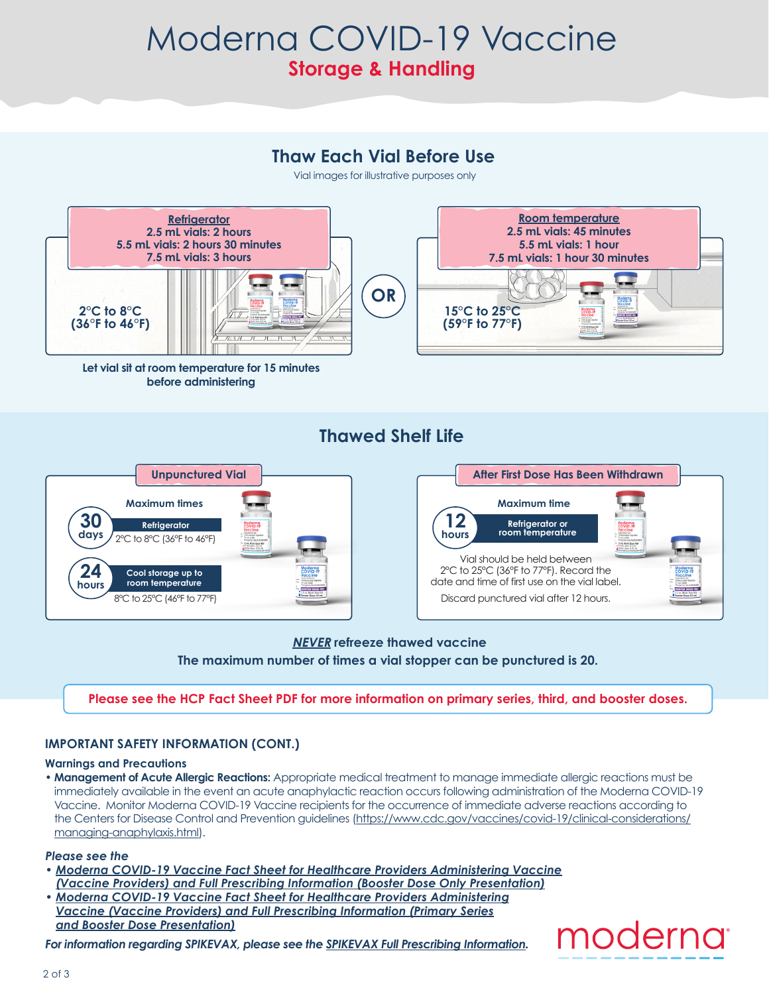## Moderna COVID-19 Vaccine **Storage & Handling**

## **Thaw Each Vial Before Use**

Vial images for illustrative purposes only



**Let vial sit at room temperature for 15 minutes before administering** 

## **Thawed Shelf Life**



#### **The maximum number of times a vial stopper can be punctured is 20. NEVER refreeze thawed vaccine**

#### **Please see the HCP Fact Sheet PDF for more information on primary series, third, and booster doses.**

#### **IMPORTANT SAFETY INFORMATION (CONT.)**

#### **Warnings and Precautions**

• **Management of Acute Allergic Reactions:** Appropriate medical treatment to manage immediate allergic reactions must be immediately available in the event an acute anaphylactic reaction occurs following administration of the Moderna COVID-19 Vaccine. Monitor Moderna COVID-19 Vaccine recipients for the occurrence of immediate adverse reactions according to the Centers for Disease Control and Prevention guidelines ([https://www.cdc.gov/vaccines/covid-19/clinical-considerations/](https://www.cdc.gov/vaccines/covid-19/clinical-considerations/managing-anaphylaxis.html) [managing-anaphylaxis.html](https://www.cdc.gov/vaccines/covid-19/clinical-considerations/managing-anaphylaxis.html)).

#### *Please see the*

- *[Moderna COVID-19 Vaccine Fact Sheet for Healthcare Providers Administering Vaccine](https://eua.modernatx.com/covid19vaccine-eua/eua-fact-sheet-booster-providers.pdf) [\(Vaccine Providers\) and Full Prescribing Information \(Booster Dose Only Presentation\)](https://eua.modernatx.com/covid19vaccine-eua/eua-fact-sheet-booster-providers.pdf)*
- *[Moderna COVID-19 Vaccine Fact Sheet for Healthcare Providers Administering](https://eua.modernatx.com/covid19vaccine-eua/eua-fact-sheet-providers.pdf) [Vaccine \(Vaccine Providers\) and Full Prescribing Information \(Primary Series](https://eua.modernatx.com/covid19vaccine-eua/eua-fact-sheet-providers.pdf) [and Booster Dose Presentation\)](https://eua.modernatx.com/covid19vaccine-eua/eua-fact-sheet-providers.pdf)*

*For information regarding SPIKEVAX, please see the [SPIKEVAX Full Prescribing Information.](https://eua.modernatx.com/covid19vaccine-eua/spikevax-prescribing-information.pdf)*